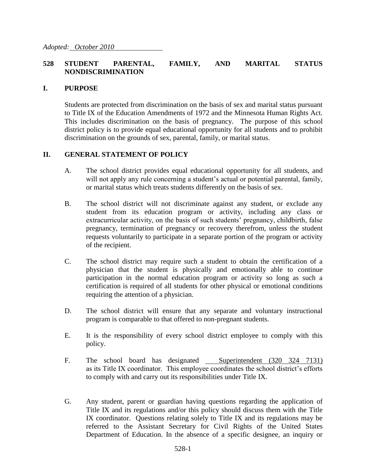## **528 STUDENT PARENTAL, FAMILY, AND MARITAL STATUS NONDISCRIMINATION**

## **I. PURPOSE**

Students are protected from discrimination on the basis of sex and marital status pursuant to Title IX of the Education Amendments of 1972 and the Minnesota Human Rights Act. This includes discrimination on the basis of pregnancy. The purpose of this school district policy is to provide equal educational opportunity for all students and to prohibit discrimination on the grounds of sex, parental, family, or marital status.

## **II. GENERAL STATEMENT OF POLICY**

- A. The school district provides equal educational opportunity for all students, and will not apply any rule concerning a student's actual or potential parental, family, or marital status which treats students differently on the basis of sex.
- B. The school district will not discriminate against any student, or exclude any student from its education program or activity, including any class or extracurricular activity, on the basis of such students' pregnancy, childbirth, false pregnancy, termination of pregnancy or recovery therefrom, unless the student requests voluntarily to participate in a separate portion of the program or activity of the recipient.
- C. The school district may require such a student to obtain the certification of a physician that the student is physically and emotionally able to continue participation in the normal education program or activity so long as such a certification is required of all students for other physical or emotional conditions requiring the attention of a physician.
- D. The school district will ensure that any separate and voluntary instructional program is comparable to that offered to non-pregnant students.
- E. It is the responsibility of every school district employee to comply with this policy.
- F. The school board has designated Superintendent (320 324 7131) as its Title IX coordinator. This employee coordinates the school district's efforts to comply with and carry out its responsibilities under Title IX.
- G. Any student, parent or guardian having questions regarding the application of Title IX and its regulations and/or this policy should discuss them with the Title IX coordinator. Questions relating solely to Title IX and its regulations may be referred to the Assistant Secretary for Civil Rights of the United States Department of Education. In the absence of a specific designee, an inquiry or